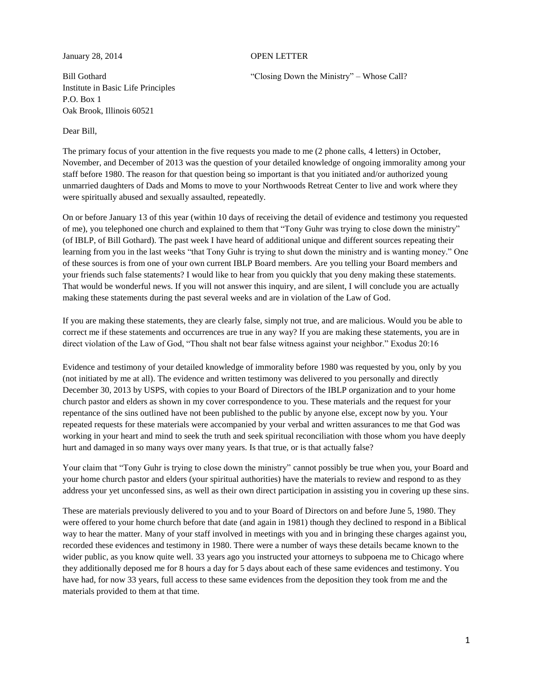#### January 28, 2014 OPEN LETTER

Institute in Basic Life Principles P.O. Box 1 Oak Brook, Illinois 60521

Dear Bill,

Bill Gothard "Closing Down the Ministry" – Whose Call?

The primary focus of your attention in the five requests you made to me (2 phone calls, 4 letters) in October, November, and December of 2013 was the question of your detailed knowledge of ongoing immorality among your staff before 1980. The reason for that question being so important is that you initiated and/or authorized young unmarried daughters of Dads and Moms to move to your Northwoods Retreat Center to live and work where they were spiritually abused and sexually assaulted, repeatedly.

On or before January 13 of this year (within 10 days of receiving the detail of evidence and testimony you requested of me), you telephoned one church and explained to them that "Tony Guhr was trying to close down the ministry" (of IBLP, of Bill Gothard). The past week I have heard of additional unique and different sources repeating their learning from you in the last weeks "that Tony Guhr is trying to shut down the ministry and is wanting money." One of these sources is from one of your own current IBLP Board members. Are you telling your Board members and your friends such false statements? I would like to hear from you quickly that you deny making these statements. That would be wonderful news. If you will not answer this inquiry, and are silent, I will conclude you are actually making these statements during the past several weeks and are in violation of the Law of God.

If you are making these statements, they are clearly false, simply not true, and are malicious. Would you be able to correct me if these statements and occurrences are true in any way? If you are making these statements, you are in direct violation of the Law of God, "Thou shalt not bear false witness against your neighbor." Exodus 20:16

Evidence and testimony of your detailed knowledge of immorality before 1980 was requested by you, only by you (not initiated by me at all). The evidence and written testimony was delivered to you personally and directly December 30, 2013 by USPS, with copies to your Board of Directors of the IBLP organization and to your home church pastor and elders as shown in my cover correspondence to you. These materials and the request for your repentance of the sins outlined have not been published to the public by anyone else, except now by you. Your repeated requests for these materials were accompanied by your verbal and written assurances to me that God was working in your heart and mind to seek the truth and seek spiritual reconciliation with those whom you have deeply hurt and damaged in so many ways over many years. Is that true, or is that actually false?

Your claim that "Tony Guhr is trying to close down the ministry" cannot possibly be true when you, your Board and your home church pastor and elders (your spiritual authorities) have the materials to review and respond to as they address your yet unconfessed sins, as well as their own direct participation in assisting you in covering up these sins.

These are materials previously delivered to you and to your Board of Directors on and before June 5, 1980. They were offered to your home church before that date (and again in 1981) though they declined to respond in a Biblical way to hear the matter. Many of your staff involved in meetings with you and in bringing these charges against you, recorded these evidences and testimony in 1980. There were a number of ways these details became known to the wider public, as you know quite well. 33 years ago you instructed your attorneys to subpoena me to Chicago where they additionally deposed me for 8 hours a day for 5 days about each of these same evidences and testimony. You have had, for now 33 years, full access to these same evidences from the deposition they took from me and the materials provided to them at that time.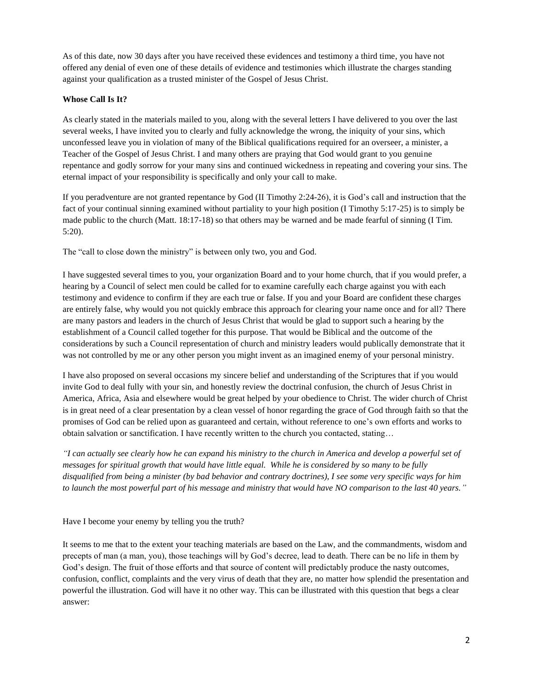As of this date, now 30 days after you have received these evidences and testimony a third time, you have not offered any denial of even one of these details of evidence and testimonies which illustrate the charges standing against your qualification as a trusted minister of the Gospel of Jesus Christ.

# **Whose Call Is It?**

As clearly stated in the materials mailed to you, along with the several letters I have delivered to you over the last several weeks, I have invited you to clearly and fully acknowledge the wrong, the iniquity of your sins, which unconfessed leave you in violation of many of the Biblical qualifications required for an overseer, a minister, a Teacher of the Gospel of Jesus Christ. I and many others are praying that God would grant to you genuine repentance and godly sorrow for your many sins and continued wickedness in repeating and covering your sins. The eternal impact of your responsibility is specifically and only your call to make.

If you peradventure are not granted repentance by God (II Timothy 2:24-26), it is God's call and instruction that the fact of your continual sinning examined without partiality to your high position (I Timothy 5:17-25) is to simply be made public to the church (Matt. 18:17-18) so that others may be warned and be made fearful of sinning (I Tim. 5:20).

The "call to close down the ministry" is between only two, you and God.

I have suggested several times to you, your organization Board and to your home church, that if you would prefer, a hearing by a Council of select men could be called for to examine carefully each charge against you with each testimony and evidence to confirm if they are each true or false. If you and your Board are confident these charges are entirely false, why would you not quickly embrace this approach for clearing your name once and for all? There are many pastors and leaders in the church of Jesus Christ that would be glad to support such a hearing by the establishment of a Council called together for this purpose. That would be Biblical and the outcome of the considerations by such a Council representation of church and ministry leaders would publically demonstrate that it was not controlled by me or any other person you might invent as an imagined enemy of your personal ministry.

I have also proposed on several occasions my sincere belief and understanding of the Scriptures that if you would invite God to deal fully with your sin, and honestly review the doctrinal confusion, the church of Jesus Christ in America, Africa, Asia and elsewhere would be great helped by your obedience to Christ. The wider church of Christ is in great need of a clear presentation by a clean vessel of honor regarding the grace of God through faith so that the promises of God can be relied upon as guaranteed and certain, without reference to one's own efforts and works to obtain salvation or sanctification. I have recently written to the church you contacted, stating…

*"I can actually see clearly how he can expand his ministry to the church in America and develop a powerful set of messages for spiritual growth that would have little equal. While he is considered by so many to be fully disqualified from being a minister (by bad behavior and contrary doctrines), I see some very specific ways for him to launch the most powerful part of his message and ministry that would have NO comparison to the last 40 years."*

Have I become your enemy by telling you the truth?

It seems to me that to the extent your teaching materials are based on the Law, and the commandments, wisdom and precepts of man (a man, you), those teachings will by God's decree, lead to death. There can be no life in them by God's design. The fruit of those efforts and that source of content will predictably produce the nasty outcomes, confusion, conflict, complaints and the very virus of death that they are, no matter how splendid the presentation and powerful the illustration. God will have it no other way. This can be illustrated with this question that begs a clear answer: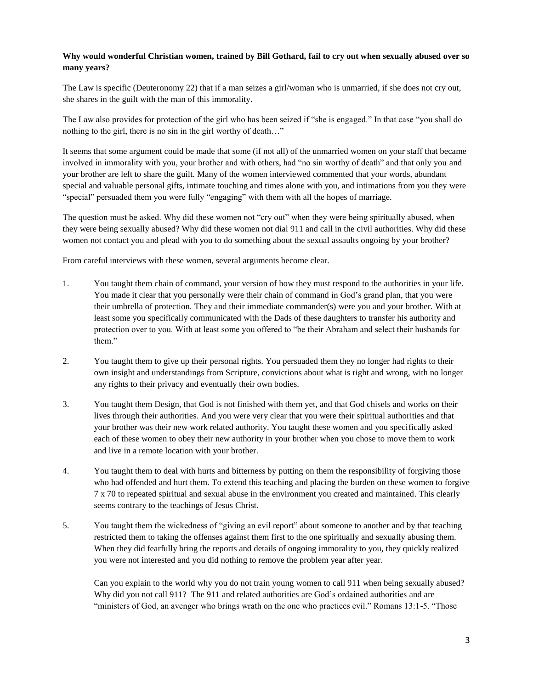# **Why would wonderful Christian women, trained by Bill Gothard, fail to cry out when sexually abused over so many years?**

The Law is specific (Deuteronomy 22) that if a man seizes a girl/woman who is unmarried, if she does not cry out, she shares in the guilt with the man of this immorality.

The Law also provides for protection of the girl who has been seized if "she is engaged." In that case "you shall do nothing to the girl, there is no sin in the girl worthy of death…"

It seems that some argument could be made that some (if not all) of the unmarried women on your staff that became involved in immorality with you, your brother and with others, had "no sin worthy of death" and that only you and your brother are left to share the guilt. Many of the women interviewed commented that your words, abundant special and valuable personal gifts, intimate touching and times alone with you, and intimations from you they were "special" persuaded them you were fully "engaging" with them with all the hopes of marriage.

The question must be asked. Why did these women not "cry out" when they were being spiritually abused, when they were being sexually abused? Why did these women not dial 911 and call in the civil authorities. Why did these women not contact you and plead with you to do something about the sexual assaults ongoing by your brother?

From careful interviews with these women, several arguments become clear.

- 1. You taught them chain of command, your version of how they must respond to the authorities in your life. You made it clear that you personally were their chain of command in God's grand plan, that you were their umbrella of protection. They and their immediate commander(s) were you and your brother. With at least some you specifically communicated with the Dads of these daughters to transfer his authority and protection over to you. With at least some you offered to "be their Abraham and select their husbands for them."
- 2. You taught them to give up their personal rights. You persuaded them they no longer had rights to their own insight and understandings from Scripture, convictions about what is right and wrong, with no longer any rights to their privacy and eventually their own bodies.
- 3. You taught them Design, that God is not finished with them yet, and that God chisels and works on their lives through their authorities. And you were very clear that you were their spiritual authorities and that your brother was their new work related authority. You taught these women and you specifically asked each of these women to obey their new authority in your brother when you chose to move them to work and live in a remote location with your brother.
- 4. You taught them to deal with hurts and bitterness by putting on them the responsibility of forgiving those who had offended and hurt them. To extend this teaching and placing the burden on these women to forgive 7 x 70 to repeated spiritual and sexual abuse in the environment you created and maintained. This clearly seems contrary to the teachings of Jesus Christ.
- 5. You taught them the wickedness of "giving an evil report" about someone to another and by that teaching restricted them to taking the offenses against them first to the one spiritually and sexually abusing them. When they did fearfully bring the reports and details of ongoing immorality to you, they quickly realized you were not interested and you did nothing to remove the problem year after year.

Can you explain to the world why you do not train young women to call 911 when being sexually abused? Why did you not call 911? The 911 and related authorities are God's ordained authorities and are "ministers of God, an avenger who brings wrath on the one who practices evil." Romans 13:1-5. "Those